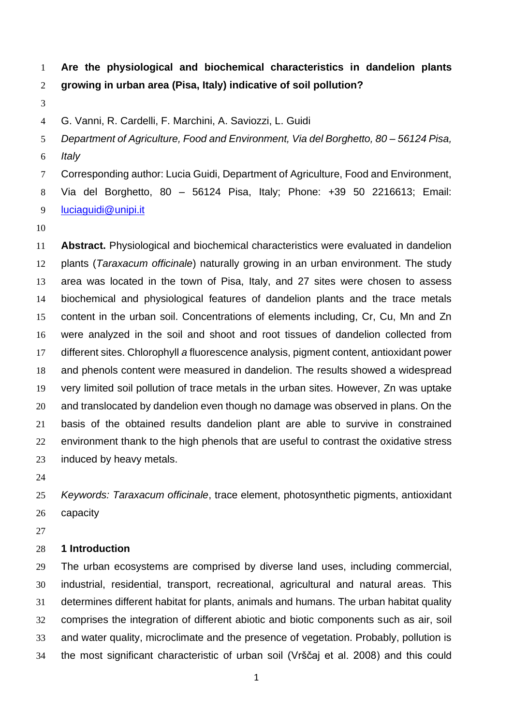**Are the physiological and biochemical characteristics in dandelion plants growing in urban area (Pisa, Italy) indicative of soil pollution?** 

G. Vanni, R. Cardelli, F. Marchini, A. Saviozzi, L. Guidi

*Department of Agriculture, Food and Environment, Via del Borghetto, 80 – 56124 Pisa,* 

*Italy*

Corresponding author: Lucia Guidi, Department of Agriculture, Food and Environment,

Via del Borghetto, 80 – 56124 Pisa, Italy; Phone: +39 50 2216613; Email:

[luciaguidi@unipi.it](mailto:luciaguidi@unipi.it)

 **Abstract.** Physiological and biochemical characteristics were evaluated in dandelion plants (*Taraxacum officinale*) naturally growing in an urban environment. The study area was located in the town of Pisa, Italy, and 27 sites were chosen to assess biochemical and physiological features of dandelion plants and the trace metals content in the urban soil. Concentrations of elements including, Cr, Cu, Mn and Zn were analyzed in the soil and shoot and root tissues of dandelion collected from different sites. Chlorophyll *a* fluorescence analysis, pigment content, antioxidant power and phenols content were measured in dandelion. The results showed a widespread very limited soil pollution of trace metals in the urban sites. However, Zn was uptake and translocated by dandelion even though no damage was observed in plans. On the basis of the obtained results dandelion plant are able to survive in constrained environment thank to the high phenols that are useful to contrast the oxidative stress induced by heavy metals.

 *Keywords: Taraxacum officinale*, trace element, photosynthetic pigments, antioxidant capacity

# **1 Introduction**

 The urban ecosystems are comprised by diverse land uses, including commercial, industrial, residential, transport, recreational, agricultural and natural areas. This determines different habitat for plants, animals and humans. The urban habitat quality comprises the integration of different abiotic and biotic components such as air, soil and water quality, microclimate and the presence of vegetation. Probably, pollution is the most significant characteristic of urban soil (Vrščaj et al. 2008) and this could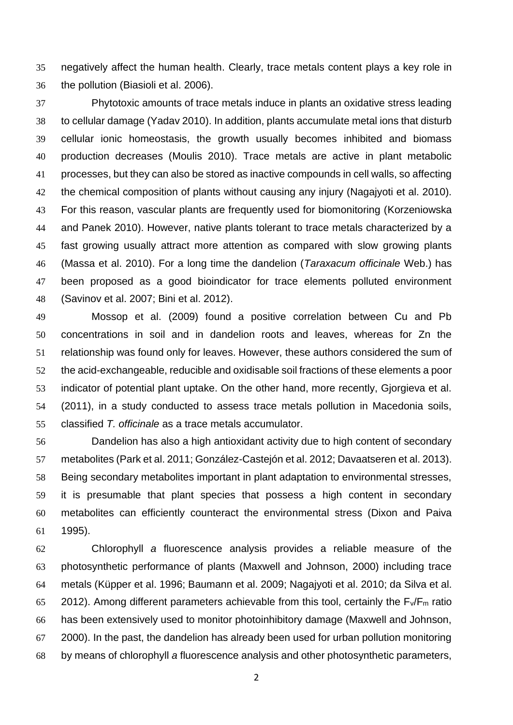negatively affect the human health. Clearly, trace metals content plays a key role in the pollution (Biasioli et al. 2006).

 Phytotoxic amounts of trace metals induce in plants an oxidative stress leading to cellular damage (Yadav 2010). In addition, plants accumulate metal ions that disturb cellular ionic homeostasis, the growth usually becomes inhibited and biomass production decreases (Moulis 2010). Trace metals are active in plant metabolic processes, but they can also be stored as inactive compounds in cell walls, so affecting the chemical composition of plants without causing any injury (Nagajyoti et al. 2010). For this reason, vascular plants are frequently used for biomonitoring (Korzeniowska and Panek 2010). However, native plants tolerant to trace metals characterized by a fast growing usually attract more attention as compared with slow growing plants (Massa et al. 2010). For a long time the dandelion (*Taraxacum officinale* Web.) has been proposed as a good bioindicator for trace elements polluted environment (Savinov et al. 2007; Bini et al. 2012).

 Mossop et al. (2009) found a positive correlation between Cu and Pb concentrations in soil and in dandelion roots and leaves, whereas for Zn the relationship was found only for leaves. However, these authors considered the sum of the acid-exchangeable, reducible and oxidisable soil fractions of these elements a poor indicator of potential plant uptake. On the other hand, more recently, Gjorgieva et al. (2011), in a study conducted to assess trace metals pollution in Macedonia soils, classified *T. officinale* as a trace metals accumulator.

 Dandelion has also a high antioxidant activity due to high content of secondary metabolites (Park et al. 2011; González-Castejón et al. 2012; Davaatseren et al. 2013). Being secondary metabolites important in plant adaptation to environmental stresses, it is presumable that plant species that possess a high content in secondary metabolites can efficiently counteract the environmental stress (Dixon and Paiva 1995).

 Chlorophyll *a* fluorescence analysis provides a reliable measure of the photosynthetic performance of plants (Maxwell and Johnson, 2000) including trace metals (Küpper et al. 1996; Baumann et al. 2009; Nagajyoti et al. 2010; da Silva et al. 65 2012). Among different parameters achievable from this tool, certainly the  $F_v/F_m$  ratio has been extensively used to monitor photoinhibitory damage (Maxwell and Johnson, 2000). In the past, the dandelion has already been used for urban pollution monitoring by means of chlorophyll *a* fluorescence analysis and other photosynthetic parameters,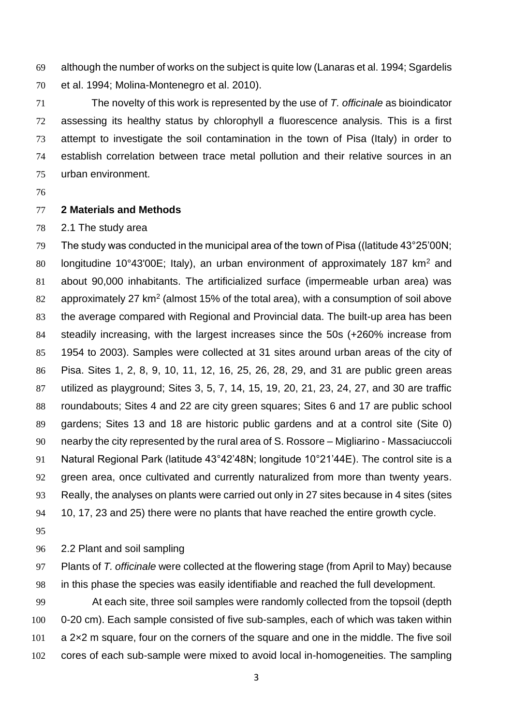although the number of works on the subject is quite low (Lanaras et al. 1994; Sgardelis et al. 1994; Molina-Montenegro et al. 2010).

 The novelty of this work is represented by the use of *T. officinale* as bioindicator assessing its healthy status by chlorophyll *a* fluorescence analysis. This is a first attempt to investigate the soil contamination in the town of Pisa (Italy) in order to establish correlation between trace metal pollution and their relative sources in an urban environment.

## **2 Materials and Methods**

2.1 The study area

 The study was conducted in the municipal area of the town of Pisa ((latitude 43°25'00N; 80 Iongitudine 10°43'00E; Italy), an urban environment of approximately 187 km<sup>2</sup> and about 90,000 inhabitants. The artificialized surface (impermeable urban area) was 82 approximately 27 km<sup>2</sup> (almost 15% of the total area), with a consumption of soil above the average compared with Regional and Provincial data. The built-up area has been steadily increasing, with the largest increases since the 50s (+260% increase from 1954 to 2003). Samples were collected at 31 sites around urban areas of the city of Pisa. Sites 1, 2, 8, 9, 10, 11, 12, 16, 25, 26, 28, 29, and 31 are public green areas utilized as playground; Sites 3, 5, 7, 14, 15, 19, 20, 21, 23, 24, 27, and 30 are traffic roundabouts; Sites 4 and 22 are city green squares; Sites 6 and 17 are public school gardens; Sites 13 and 18 are historic public gardens and at a control site (Site 0) nearby the city represented by the rural area of S. Rossore – Migliarino - Massaciuccoli Natural Regional Park (latitude 43°42'48N; longitude 10°21'44E). The control site is a green area, once cultivated and currently naturalized from more than twenty years. Really, the analyses on plants were carried out only in 27 sites because in 4 sites (sites 10, 17, 23 and 25) there were no plants that have reached the entire growth cycle.

2.2 Plant and soil sampling

 Plants of *T. officinale* were collected at the flowering stage (from April to May) because in this phase the species was easily identifiable and reached the full development.

 At each site, three soil samples were randomly collected from the topsoil (depth 0-20 cm). Each sample consisted of five sub-samples, each of which was taken within a 2×2 m square, four on the corners of the square and one in the middle. The five soil cores of each sub-sample were mixed to avoid local in-homogeneities. The sampling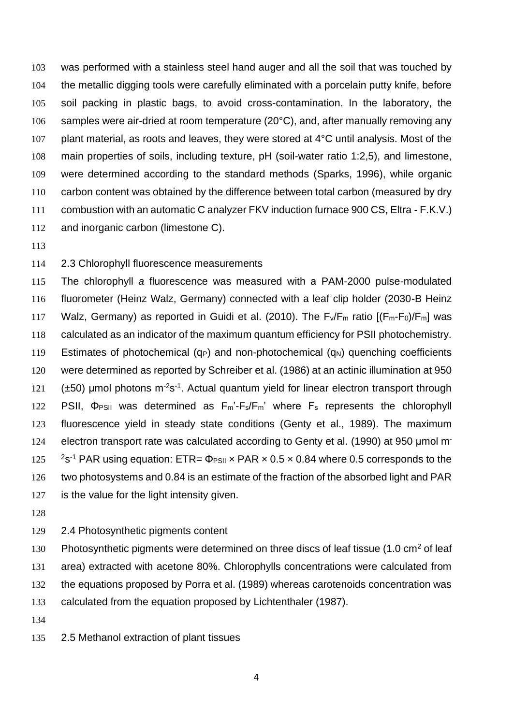was performed with a stainless steel hand auger and all the soil that was touched by the metallic digging tools were carefully eliminated with a porcelain putty knife, before soil packing in plastic bags, to avoid cross-contamination. In the laboratory, the 106 samples were air-dried at room temperature (20°C), and, after manually removing any 107 plant material, as roots and leaves, they were stored at 4°C until analysis. Most of the main properties of soils, including texture, pH (soil-water ratio 1:2,5), and limestone, were determined according to the standard methods (Sparks, 1996), while organic carbon content was obtained by the difference between total carbon (measured by dry combustion with an automatic C analyzer FKV induction furnace 900 CS, Eltra - F.K.V.) and inorganic carbon (limestone C).

## 2.3 Chlorophyll fluorescence measurements

 The chlorophyll *a* fluorescence was measured with a PAM-2000 pulse-modulated fluorometer (Heinz Walz, Germany) connected with a leaf clip holder (2030-B Heinz 117 Walz, Germany) as reported in Guidi et al. (2010). The  $F_v/F_m$  ratio  $[(F_m-F_0)/F_m]$  was calculated as an indicator of the maximum quantum efficiency for PSII photochemistry. 119 Estimates of photochemical ( $q_P$ ) and non-photochemical ( $q_N$ ) quenching coefficients were determined as reported by Schreiber et al. (1986) at an actinic illumination at 950  $(\pm 50)$  µmol photons m<sup>-2</sup>s<sup>-1</sup>. Actual quantum yield for linear electron transport through 122 PSII, Φ<sub>PSII</sub> was determined as F<sub>m</sub>'-F<sub>s</sub>/F<sub>m</sub>' where F<sub>s</sub> represents the chlorophyll fluorescence yield in steady state conditions (Genty et al., 1989). The maximum electron transport rate was calculated according to Genty et al. (1990) at 950 μmol m-  $25<sup>-1</sup>$  PAR using equation: ETR=  $\Phi_{PSII}$  x PAR x 0.5 x 0.84 where 0.5 corresponds to the two photosystems and 0.84 is an estimate of the fraction of the absorbed light and PAR is the value for the light intensity given.

### 2.4 Photosynthetic pigments content

130 Photosynthetic pigments were determined on three discs of leaf tissue  $(1.0 \text{ cm}^2 \text{ of } \text{leaf})$  area) extracted with acetone 80%. Chlorophylls concentrations were calculated from the equations proposed by Porra et al. (1989) whereas carotenoids concentration was calculated from the equation proposed by Lichtenthaler (1987).

- 
- 2.5 Methanol extraction of plant tissues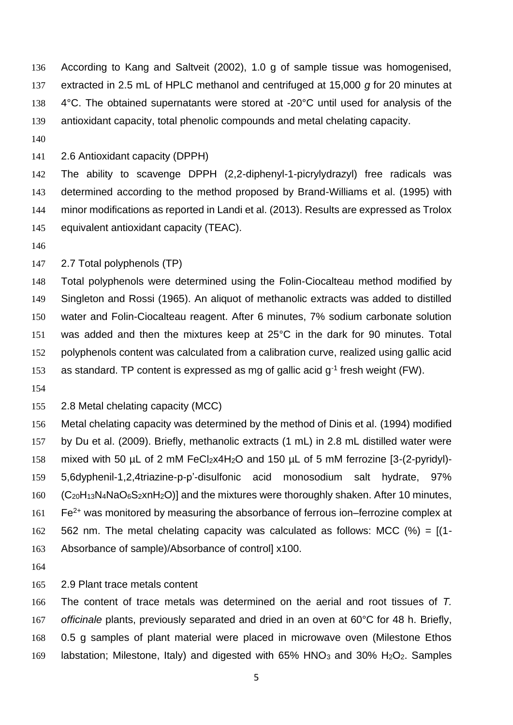According to Kang and Saltveit (2002), 1.0 g of sample tissue was homogenised, extracted in 2.5 mL of HPLC methanol and centrifuged at 15,000 *g* for 20 minutes at 138 4°C. The obtained supernatants were stored at -20°C until used for analysis of the antioxidant capacity, total phenolic compounds and metal chelating capacity.

2.6 Antioxidant capacity (DPPH)

 The ability to scavenge DPPH (2,2-diphenyl-1-picrylydrazyl) free radicals was determined according to the method proposed by Brand-Williams et al. (1995) with minor modifications as reported in Landi et al. (2013). Results are expressed as Trolox equivalent antioxidant capacity (TEAC).

#### 2.7 Total polyphenols (TP)

 Total polyphenols were determined using the Folin-Ciocalteau method modified by Singleton and Rossi (1965). An aliquot of methanolic extracts was added to distilled water and Folin-Ciocalteau reagent. After 6 minutes, 7% sodium carbonate solution was added and then the mixtures keep at 25°C in the dark for 90 minutes. Total polyphenols content was calculated from a calibration curve, realized using gallic acid 153 as standard. TP content is expressed as mg of gallic acid  $g^{-1}$  fresh weight (FW).

2.8 Metal chelating capacity (MCC)

 Metal chelating capacity was determined by the method of Dinis et al. (1994) modified by Du et al. (2009). Briefly, methanolic extracts (1 mL) in 2.8 mL distilled water were 158 mixed with 50 µL of 2 mM FeCl<sub>2</sub>x4H<sub>2</sub>O and 150 µL of 5 mM ferrozine [3-(2-pyridyl)- 5,6dyphenil-1,2,4triazine-p-p'-disulfonic acid monosodium salt hydrate, 97% (C<sub>20</sub>H<sub>13</sub>N<sub>4</sub>NaO<sub>6</sub>S<sub>2</sub>xnH<sub>2</sub>O)] and the mixtures were thoroughly shaken. After 10 minutes, Fe<sup>2+</sup> was monitored by measuring the absorbance of ferrous ion–ferrozine complex at 562 nm. The metal chelating capacity was calculated as follows: MCC (%) = [(1- Absorbance of sample)/Absorbance of control] x100.

#### 2.9 Plant trace metals content

 The content of trace metals was determined on the aerial and root tissues of *T. officinale* plants, previously separated and dried in an oven at 60°C for 48 h. Briefly, 0.5 g samples of plant material were placed in microwave oven (Milestone Ethos 169 labstation; Milestone, Italy) and digested with 65% HNO<sub>3</sub> and 30% H<sub>2</sub>O<sub>2</sub>. Samples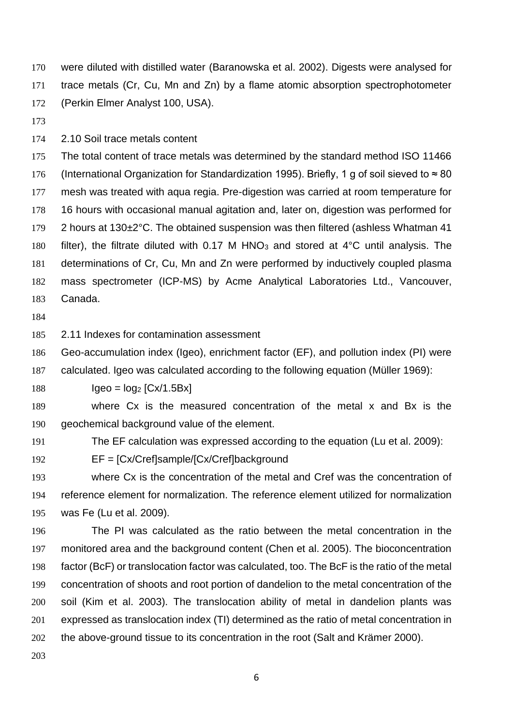were diluted with distilled water (Baranowska et al. 2002). Digests were analysed for trace metals (Cr, Cu, Mn and Zn) by a flame atomic absorption spectrophotometer (Perkin Elmer Analyst 100, USA).

2.10 Soil trace metals content

 The total content of trace metals was determined by the standard method ISO 11466 (International Organization for Standardization 1995). Briefly, 1 g of soil sieved to ≈ 80 mesh was treated with aqua regia. Pre-digestion was carried at room temperature for 16 hours with occasional manual agitation and, later on, digestion was performed for 2 hours at 130±2°C. The obtained suspension was then filtered (ashless Whatman 41 180 filter), the filtrate diluted with 0.17 M HNO<sub>3</sub> and stored at  $4^{\circ}$ C until analysis. The determinations of Cr, Cu, Mn and Zn were performed by inductively coupled plasma mass spectrometer (ICP-MS) by Acme Analytical Laboratories Ltd., Vancouver, Canada.

2.11 Indexes for contamination assessment

Geo-accumulation index (Igeo), enrichment factor (EF), and pollution index (PI) were

calculated. Igeo was calculated according to the following equation (Müller 1969):

188  $\log_2 [Cx/1.5Bx]$ 

 where Cx is the measured concentration of the metal x and Bx is the geochemical background value of the element.

The EF calculation was expressed according to the equation (Lu et al. 2009):

EF = [Cx/Cref]sample/[Cx/Cref]background

 where Cx is the concentration of the metal and Cref was the concentration of reference element for normalization. The reference element utilized for normalization was Fe (Lu et al. 2009).

 The PI was calculated as the ratio between the metal concentration in the monitored area and the background content (Chen et al. 2005). The bioconcentration factor (BcF) or translocation factor was calculated, too. The BcF is the ratio of the metal concentration of shoots and root portion of dandelion to the metal concentration of the soil (Kim et al. 2003). The translocation ability of metal in dandelion plants was expressed as translocation index (TI) determined as the ratio of metal concentration in the above-ground tissue to its concentration in the root (Salt and Krämer 2000).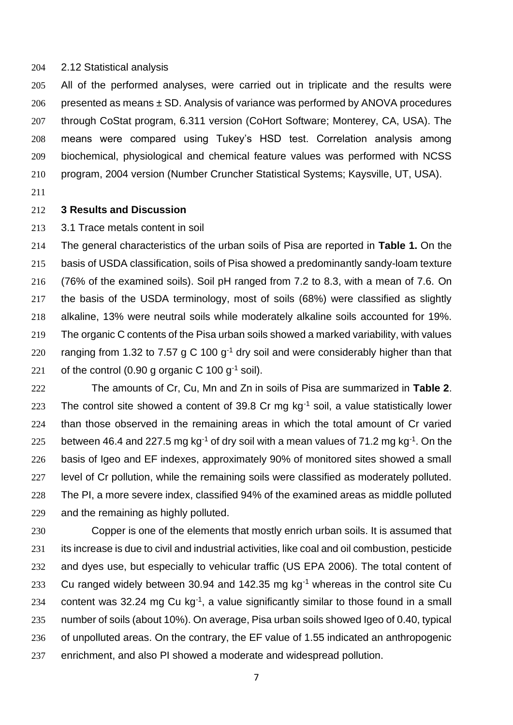#### 2.12 Statistical analysis

 All of the performed analyses, were carried out in triplicate and the results were 206 presented as means  $\pm$  SD. Analysis of variance was performed by ANOVA procedures through CoStat program, 6.311 version (CoHort Software; Monterey, CA, USA). The means were compared using Tukey's HSD test. Correlation analysis among biochemical, physiological and chemical feature values was performed with NCSS program, 2004 version (Number Cruncher Statistical Systems; Kaysville, UT, USA).

## **3 Results and Discussion**

3.1 Trace metals content in soil

 The general characteristics of the urban soils of Pisa are reported in **Table 1.** On the basis of USDA classification, soils of Pisa showed a predominantly sandy-loam texture (76% of the examined soils). Soil pH ranged from 7.2 to 8.3, with a mean of 7.6. On the basis of the USDA terminology, most of soils (68%) were classified as slightly alkaline, 13% were neutral soils while moderately alkaline soils accounted for 19%. The organic C contents of the Pisa urban soils showed a marked variability, with values 220 ranging from 1.32 to 7.57 g C 100  $g^{-1}$  dry soil and were considerably higher than that 221 of the control (0.90 g organic C 100 g<sup>-1</sup> soil).

 The amounts of Cr, Cu, Mn and Zn in soils of Pisa are summarized in **Table 2**. 223 The control site showed a content of 39.8 Cr mg  $kg^{-1}$  soil, a value statistically lower than those observed in the remaining areas in which the total amount of Cr varied 225 between 46.4 and 227.5 mg kg<sup>-1</sup> of dry soil with a mean values of 71.2 mg kg<sup>-1</sup>. On the basis of Igeo and EF indexes, approximately 90% of monitored sites showed a small level of Cr pollution, while the remaining soils were classified as moderately polluted. The PI, a more severe index, classified 94% of the examined areas as middle polluted and the remaining as highly polluted.

 Copper is one of the elements that mostly enrich urban soils. It is assumed that its increase is due to civil and industrial activities, like coal and oil combustion, pesticide and dyes use, but especially to vehicular traffic (US EPA 2006). The total content of 233 Cu ranged widely between 30.94 and 142.35 mg  $kg<sup>-1</sup>$  whereas in the control site Cu 234 content was 32.24 mg Cu kg<sup>-1</sup>, a value significantly similar to those found in a small number of soils (about 10%). On average, Pisa urban soils showed Igeo of 0.40, typical of unpolluted areas. On the contrary, the EF value of 1.55 indicated an anthropogenic enrichment, and also PI showed a moderate and widespread pollution.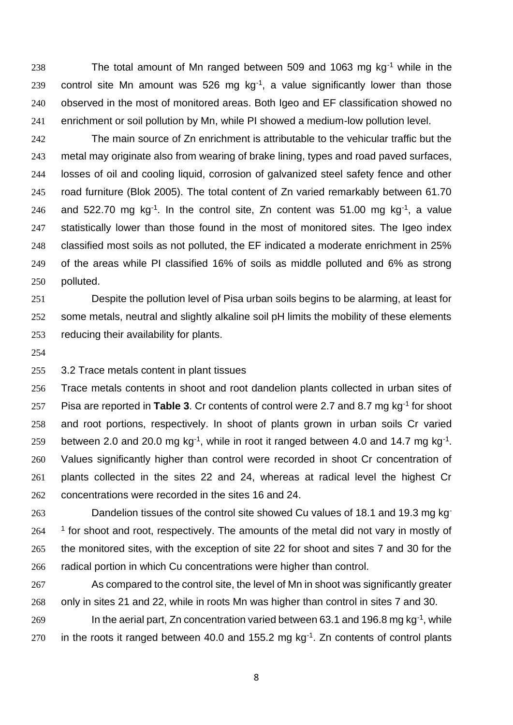238 The total amount of Mn ranged between 509 and 1063 mg  $kg<sup>-1</sup>$  while in the 239 control site Mn amount was 526 mg  $kg<sup>-1</sup>$ , a value significantly lower than those observed in the most of monitored areas. Both Igeo and EF classification showed no enrichment or soil pollution by Mn, while PI showed a medium-low pollution level.

 The main source of Zn enrichment is attributable to the vehicular traffic but the metal may originate also from wearing of brake lining, types and road paved surfaces, losses of oil and cooling liquid, corrosion of galvanized steel safety fence and other road furniture (Blok 2005). The total content of Zn varied remarkably between 61.70 246 and 522.70 mg kg<sup>-1</sup>. In the control site, Zn content was 51.00 mg kg<sup>-1</sup>, a value 247 statistically lower than those found in the most of monitored sites. The Igeo index classified most soils as not polluted, the EF indicated a moderate enrichment in 25% of the areas while PI classified 16% of soils as middle polluted and 6% as strong polluted.

 Despite the pollution level of Pisa urban soils begins to be alarming, at least for some metals, neutral and slightly alkaline soil pH limits the mobility of these elements reducing their availability for plants.

3.2 Trace metals content in plant tissues

 Trace metals contents in shoot and root dandelion plants collected in urban sites of 257 Pisa are reported in **Table 3**. Cr contents of control were 2.7 and 8.7 mg  $kg^{-1}$  for shoot and root portions, respectively. In shoot of plants grown in urban soils Cr varied 259 between 2.0 and 20.0 mg kg<sup>-1</sup>, while in root it ranged between 4.0 and 14.7 mg kg<sup>-1</sup>. Values significantly higher than control were recorded in shoot Cr concentration of plants collected in the sites 22 and 24, whereas at radical level the highest Cr concentrations were recorded in the sites 16 and 24.

**Dandelion tissues of the control site showed Cu values of 18.1 and 19.3 mg kg**  <sup>1</sup> for shoot and root, respectively. The amounts of the metal did not vary in mostly of the monitored sites, with the exception of site 22 for shoot and sites 7 and 30 for the radical portion in which Cu concentrations were higher than control.

 As compared to the control site, the level of Mn in shoot was significantly greater only in sites 21 and 22, while in roots Mn was higher than control in sites 7 and 30. In the aerial part, Zn concentration varied between 63.1 and 196.8 mg kg<sup>-1</sup>, while 270 in the roots it ranged between 40.0 and 155.2 mg  $kg<sup>-1</sup>$ . Zn contents of control plants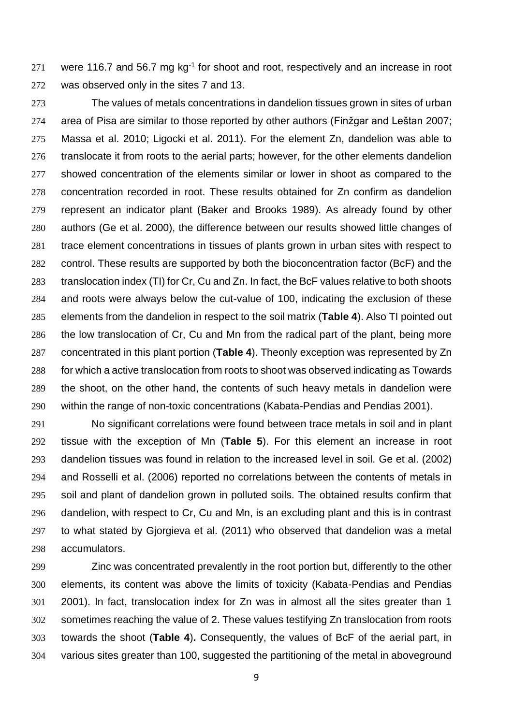were 116.7 and 56.7 mg kg<sup>-1</sup> for shoot and root, respectively and an increase in root was observed only in the sites 7 and 13.

 The values of metals concentrations in dandelion tissues grown in sites of urban area of Pisa are similar to those reported by other authors (Finžgar and Leštan 2007; Massa et al. 2010; Ligocki et al. 2011). For the element Zn, dandelion was able to translocate it from roots to the aerial parts; however, for the other elements dandelion showed concentration of the elements similar or lower in shoot as compared to the concentration recorded in root. These results obtained for Zn confirm as dandelion represent an indicator plant (Baker and Brooks 1989). As already found by other authors (Ge et al. 2000), the difference between our results showed little changes of trace element concentrations in tissues of plants grown in urban sites with respect to control. These results are supported by both the bioconcentration factor (BcF) and the translocation index (TI) for Cr, Cu and Zn. In fact, the BcF values relative to both shoots and roots were always below the cut-value of 100, indicating the exclusion of these elements from the dandelion in respect to the soil matrix (**Table 4**). Also TI pointed out the low translocation of Cr, Cu and Mn from the radical part of the plant, being more concentrated in this plant portion (**Table 4**). Theonly exception was represented by Zn for which a active translocation from roots to shoot was observed indicating as Towards the shoot, on the other hand, the contents of such heavy metals in dandelion were within the range of non-toxic concentrations (Kabata-Pendias and Pendias 2001).

 No significant correlations were found between trace metals in soil and in plant tissue with the exception of Mn (**Table 5**). For this element an increase in root dandelion tissues was found in relation to the increased level in soil. Ge et al. (2002) and Rosselli et al. (2006) reported no correlations between the contents of metals in soil and plant of dandelion grown in polluted soils. The obtained results confirm that dandelion, with respect to Cr, Cu and Mn, is an excluding plant and this is in contrast to what stated by Gjorgieva et al. (2011) who observed that dandelion was a metal accumulators.

 Zinc was concentrated prevalently in the root portion but, differently to the other elements, its content was above the limits of toxicity (Kabata-Pendias and Pendias 2001). In fact, translocation index for Zn was in almost all the sites greater than 1 sometimes reaching the value of 2. These values testifying Zn translocation from roots towards the shoot (**Table 4**)**.** Consequently, the values of BcF of the aerial part, in various sites greater than 100, suggested the partitioning of the metal in aboveground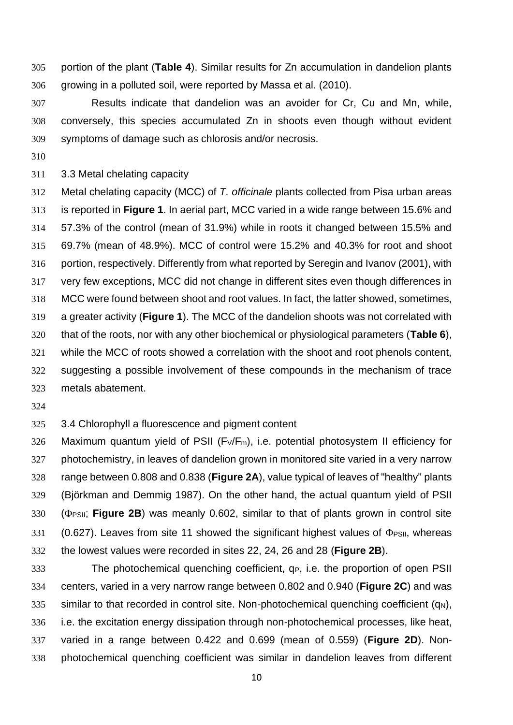portion of the plant (**Table 4**). Similar results for Zn accumulation in dandelion plants growing in a polluted soil, were reported by Massa et al. (2010).

 Results indicate that dandelion was an avoider for Cr, Cu and Mn, while, conversely, this species accumulated Zn in shoots even though without evident symptoms of damage such as chlorosis and/or necrosis.

3.3 Metal chelating capacity

 Metal chelating capacity (MCC) of *T. officinale* plants collected from Pisa urban areas is reported in **Figure 1**. In aerial part, MCC varied in a wide range between 15.6% and 57.3% of the control (mean of 31.9%) while in roots it changed between 15.5% and 69.7% (mean of 48.9%). MCC of control were 15.2% and 40.3% for root and shoot portion, respectively. Differently from what reported by Seregin and Ivanov (2001), with very few exceptions, MCC did not change in different sites even though differences in MCC were found between shoot and root values. In fact, the latter showed, sometimes, a greater activity (**Figure 1**). The MCC of the dandelion shoots was not correlated with that of the roots, nor with any other biochemical or physiological parameters (**Table 6**), while the MCC of roots showed a correlation with the shoot and root phenols content, suggesting a possible involvement of these compounds in the mechanism of trace metals abatement.

3.4 Chlorophyll a fluorescence and pigment content

326 Maximum quantum yield of PSII (Fv/F<sub>m</sub>), i.e. potential photosystem II efficiency for photochemistry, in leaves of dandelion grown in monitored site varied in a very narrow range between 0.808 and 0.838 (**Figure 2A**), value typical of leaves of "healthy" plants (Björkman and Demmig 1987). On the other hand, the actual quantum yield of PSII 330 (PPSII; Figure 2B) was meanly 0.602, similar to that of plants grown in control site 331 (0.627). Leaves from site 11 showed the significant highest values of  $\Phi$ PSII, whereas the lowest values were recorded in sites 22, 24, 26 and 28 (**Figure 2B**).

333 The photochemical quenching coefficient, q<sub>P</sub>, i.e. the proportion of open PSII centers, varied in a very narrow range between 0.802 and 0.940 (**Figure 2C**) and was similar to that recorded in control site. Non-photochemical quenching coefficient (q<sub>N</sub>), i.e. the excitation energy dissipation through non-photochemical processes, like heat, varied in a range between 0.422 and 0.699 (mean of 0.559) (**Figure 2D**). Non-photochemical quenching coefficient was similar in dandelion leaves from different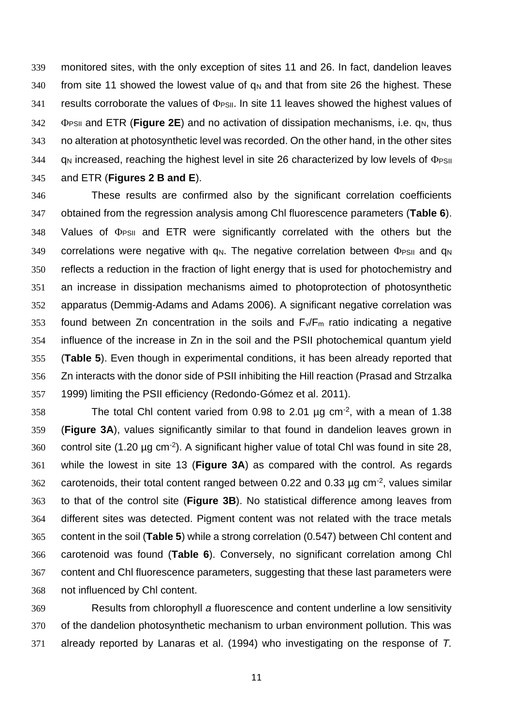monitored sites, with the only exception of sites 11 and 26. In fact, dandelion leaves 340 from site 11 showed the lowest value of  $q_N$  and that from site 26 the highest. These results corroborate the values of  $\Phi$ PSII. In site 11 leaves showed the highest values of **Posit and ETR (Figure 2E)** and no activation of dissipation mechanisms, i.e. q<sub>N</sub>, thus no alteration at photosynthetic level was recorded. On the other hand, in the other sites q<sub>N</sub> increased, reaching the highest level in site 26 characterized by low levels of  $\Phi$ PSII and ETR (**Figures 2 B and E**).

 These results are confirmed also by the significant correlation coefficients obtained from the regression analysis among Chl fluorescence parameters (**Table 6**). Values of  $\Phi_{PSII}$  and ETR were significantly correlated with the others but the correlations were negative with  $q_N$ . The negative correlation between  $\Phi_{PSII}$  and  $q_N$  reflects a reduction in the fraction of light energy that is used for photochemistry and an increase in dissipation mechanisms aimed to photoprotection of photosynthetic apparatus (Demmig-Adams and Adams 2006). A significant negative correlation was 353 found between Zn concentration in the soils and  $F_v/F_m$  ratio indicating a negative influence of the increase in Zn in the soil and the PSII photochemical quantum yield (**Table 5**). Even though in experimental conditions, it has been already reported that Zn interacts with the donor side of PSII inhibiting the Hill reaction (Prasad and Strzalka 1999) limiting the PSII efficiency (Redondo-Gómez et al. 2011).

358 The total Chl content varied from 0.98 to 2.01  $\mu$ g cm<sup>-2</sup>, with a mean of 1.38 (**Figure 3A**), values significantly similar to that found in dandelion leaves grown in control site (1.20 µg cm<sup>-2</sup>). A significant higher value of total Chl was found in site 28, while the lowest in site 13 (**Figure 3A**) as compared with the control. As regards carotenoids, their total content ranged between 0.22 and 0.33  $\mu$ g cm<sup>-2</sup>, values similar to that of the control site (**Figure 3B**). No statistical difference among leaves from different sites was detected. Pigment content was not related with the trace metals content in the soil (**Table 5**) while a strong correlation (0.547) between Chl content and carotenoid was found (**Table 6**). Conversely, no significant correlation among Chl content and Chl fluorescence parameters, suggesting that these last parameters were not influenced by Chl content.

 Results from chlorophyll *a* fluorescence and content underline a low sensitivity of the dandelion photosynthetic mechanism to urban environment pollution. This was already reported by Lanaras et al. (1994) who investigating on the response of *T.*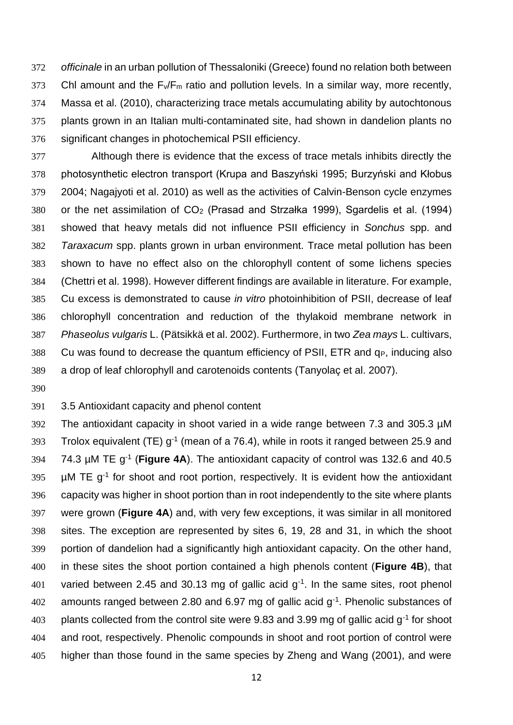*officinale* in an urban pollution of Thessaloniki (Greece) found no relation both between 373 Chl amount and the  $F_v/F_m$  ratio and pollution levels. In a similar way, more recently, Massa et al. (2010), characterizing trace metals accumulating ability by autochtonous plants grown in an Italian multi-contaminated site, had shown in dandelion plants no significant changes in photochemical PSII efficiency.

 Although there is evidence that the excess of trace metals inhibits directly the photosynthetic electron transport (Krupa and Baszyński 1995; Burzyński and Kłobus 2004; Nagajyoti et al. 2010) as well as the activities of Calvin-Benson cycle enzymes or the net assimilation of CO<sup>2</sup> (Prasad and Strzałka 1999), Sgardelis et al. (1994) showed that heavy metals did not influence PSII efficiency in *Sonchus* spp. and *Taraxacum* spp. plants grown in urban environment. Trace metal pollution has been shown to have no effect also on the chlorophyll content of some lichens species (Chettri et al. 1998). However different findings are available in literature. For example, Cu excess is demonstrated to cause *in vitro* photoinhibition of PSII, decrease of leaf chlorophyll concentration and reduction of the thylakoid membrane network in *Phaseolus vulgaris* L. (Pätsikkä et al. 2002). Furthermore, in two *Zea mays* L. cultivars, 388 Cu was found to decrease the quantum efficiency of PSII, ETR and q<sub>P</sub>, inducing also a drop of leaf chlorophyll and carotenoids contents (Tanyolaç et al. 2007).

3.5 Antioxidant capacity and phenol content

 The antioxidant capacity in shoot varied in a wide range between 7.3 and 305.3 µM 393 Trolox equivalent (TE)  $q^{-1}$  (mean of a 76.4), while in roots it ranged between 25.9 and 74.3 µM TE g-1 (**Figure 4A**). The antioxidant capacity of control was 132.6 and 40.5  $\mu$ M TE g<sup>-1</sup> for shoot and root portion, respectively. It is evident how the antioxidant capacity was higher in shoot portion than in root independently to the site where plants were grown (**Figure 4A**) and, with very few exceptions, it was similar in all monitored sites. The exception are represented by sites 6, 19, 28 and 31, in which the shoot portion of dandelion had a significantly high antioxidant capacity. On the other hand, in these sites the shoot portion contained a high phenols content (**Figure 4B**), that 401 varied between 2.45 and 30.13 mg of gallic acid  $q^{-1}$ . In the same sites, root phenol 402 amounts ranged between 2.80 and 6.97 mg of gallic acid  $g^{-1}$ . Phenolic substances of plants collected from the control site were 9.83 and 3.99 mg of gallic acid g<sup>-1</sup> for shoot and root, respectively. Phenolic compounds in shoot and root portion of control were higher than those found in the same species by Zheng and Wang (2001), and were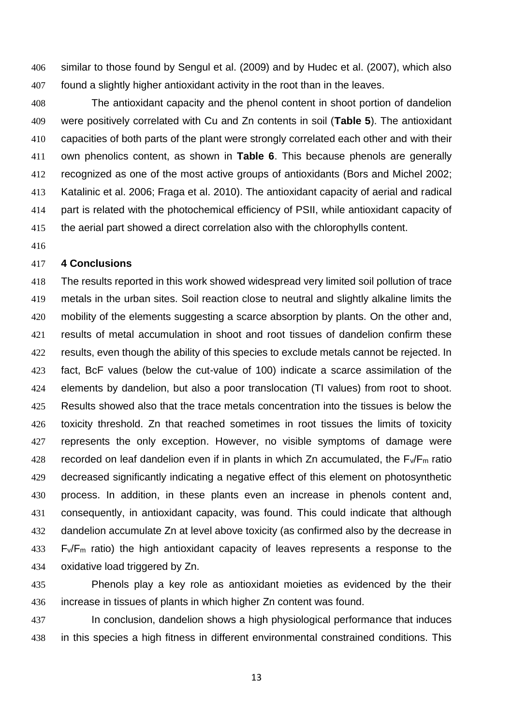similar to those found by Sengul et al. (2009) and by Hudec et al. (2007), which also found a slightly higher antioxidant activity in the root than in the leaves.

 The antioxidant capacity and the phenol content in shoot portion of dandelion were positively correlated with Cu and Zn contents in soil (**Table 5**). The antioxidant capacities of both parts of the plant were strongly correlated each other and with their own phenolics content, as shown in **Table 6**. This because phenols are generally recognized as one of the most active groups of antioxidants (Bors and Michel 2002; Katalinic et al. 2006; Fraga et al. 2010). The antioxidant capacity of aerial and radical part is related with the photochemical efficiency of PSII, while antioxidant capacity of the aerial part showed a direct correlation also with the chlorophylls content.

### **4 Conclusions**

 The results reported in this work showed widespread very limited soil pollution of trace metals in the urban sites. Soil reaction close to neutral and slightly alkaline limits the 420 mobility of the elements suggesting a scarce absorption by plants. On the other and, results of metal accumulation in shoot and root tissues of dandelion confirm these 422 results, even though the ability of this species to exclude metals cannot be rejected. In fact, BcF values (below the cut-value of 100) indicate a scarce assimilation of the elements by dandelion, but also a poor translocation (TI values) from root to shoot. Results showed also that the trace metals concentration into the tissues is below the toxicity threshold. Zn that reached sometimes in root tissues the limits of toxicity represents the only exception. However, no visible symptoms of damage were 428 recorded on leaf dandelion even if in plants in which Zn accumulated, the  $F_v/F_m$  ratio decreased significantly indicating a negative effect of this element on photosynthetic process. In addition, in these plants even an increase in phenols content and, consequently, in antioxidant capacity, was found. This could indicate that although dandelion accumulate Zn at level above toxicity (as confirmed also by the decrease in F $\sqrt{F_m}$  ratio) the high antioxidant capacity of leaves represents a response to the oxidative load triggered by Zn.

 Phenols play a key role as antioxidant moieties as evidenced by the their increase in tissues of plants in which higher Zn content was found.

 In conclusion, dandelion shows a high physiological performance that induces in this species a high fitness in different environmental constrained conditions. This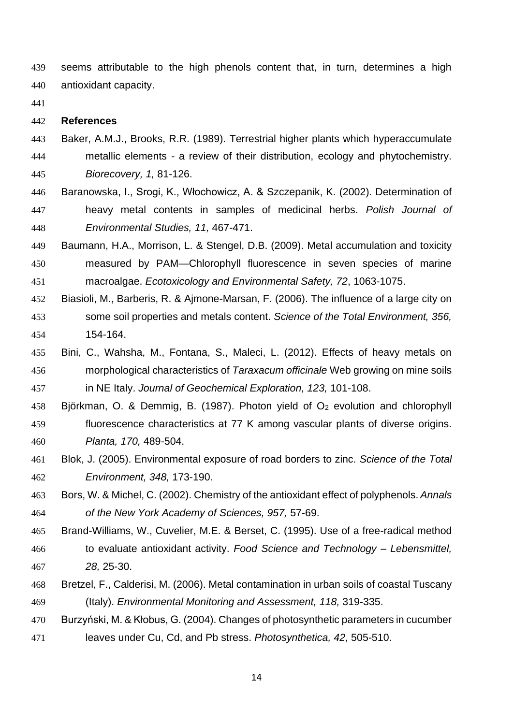seems attributable to the high phenols content that, in turn, determines a high antioxidant capacity.

#### **References**

- Baker, A.M.J., Brooks, R.R. (1989). Terrestrial higher plants which hyperaccumulate metallic elements - a review of their distribution, ecology and phytochemistry. *Biorecovery, 1,* 81-126.
- Baranowska, I., Srogi, K., Włochowicz, A. & Szczepanik, K. (2002). Determination of heavy metal contents in samples of medicinal herbs. *Polish Journal of Environmental Studies, 11,* 467-471.
- Baumann, H.A., Morrison, L. & Stengel, D.B. (2009). Metal accumulation and toxicity measured by PAM—Chlorophyll fluorescence in seven species of marine macroalgae. *Ecotoxicology and Environmental Safety, 72*, 1063-1075.
- Biasioli, M., Barberis, R. & Ajmone-Marsan, F. (2006). The influence of a large city on some soil properties and metals content. *Science of the Total Environment, 356,*  154-164.
- Bini, C., Wahsha, M., Fontana, S., Maleci, L. (2012). Effects of heavy metals on morphological characteristics of *Taraxacum officinale* Web growing on mine soils in NE Italy. *Journal of Geochemical Exploration, 123,* 101-108.
- Björkman, O. & Demmig, B. (1987). Photon yield of O<sup>2</sup> evolution and chlorophyll fluorescence characteristics at 77 K among vascular plants of diverse origins. *Planta, 170,* 489-504.
- Blok, J. (2005). Environmental exposure of road borders to zinc. *Science of the Total Environment, 348,* 173-190.
- Bors, W. & Michel, C. (2002). Chemistry of the antioxidant effect of polyphenols. *Annals of the New York Academy of Sciences, 957,* 57-69.
- Brand-Williams, W., Cuvelier, M.E. & Berset, C. (1995). Use of a free-radical method to evaluate antioxidant activity. *Food Science and Technology – Lebensmittel, 28,* 25-30.
- Bretzel, F., Calderisi, M. (2006). Metal contamination in urban soils of coastal Tuscany (Italy). *Environmental Monitoring and Assessment, 118,* 319-335.
- Burzyński, M. & Kłobus, G. (2004). Changes of photosynthetic parameters in cucumber leaves under Cu, Cd, and Pb stress. *Photosynthetica, 42,* 505-510.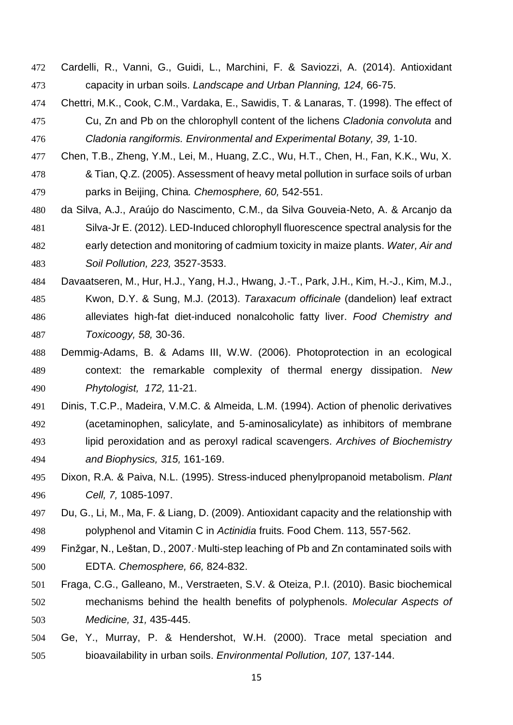- Cardelli, R., Vanni, G., Guidi, L., Marchini, F. & Saviozzi, A. (2014). Antioxidant capacity in urban soils. *Landscape and Urban Planning, 124,* 66-75.
- Chettri, M.K., Cook, C.M., Vardaka, E., Sawidis, T. & Lanaras, T. (1998). The effect of Cu, Zn and Pb on the chlorophyll content of the lichens *Cladonia convoluta* and *Cladonia rangiformis. Environmental and Experimental Botany, 39,* 1-10.
- Chen, T.B., Zheng, Y.M., Lei, M., Huang, Z.C., Wu, H.T., Chen, H., Fan, K.K., Wu, X. & Tian, Q.Z. (2005). Assessment of heavy metal pollution in surface soils of urban parks in Beijing, China*. Chemosphere, 60,* 542-551.
- da Silva, A.J., Araújo do Nascimento, C.M., da Silva Gouveia-Neto, A. & Arcanjo da Silva-Jr E. (2012). LED-Induced chlorophyll fluorescence spectral analysis for the early detection and monitoring of cadmium toxicity in maize plants. *Water, Air and Soil Pollution, 223,* 3527-3533.
- Davaatseren, M., Hur, H.J., Yang, H.J., Hwang, J.-T., Park, J.H., Kim, H.-J., Kim, M.J., Kwon, D.Y. & Sung, M.J. (2013). *Taraxacum officinale* (dandelion) leaf extract alleviates high-fat diet-induced nonalcoholic fatty liver. *Food Chemistry and Toxicoogy, 58,* 30-36.
- Demmig-Adams, B. & Adams III, W.W. (2006). Photoprotection in an ecological context: the remarkable complexity of thermal energy dissipation. *New Phytologist, 172,* 11-21.
- Dinis, T.C.P., Madeira, V.M.C. & Almeida, L.M. (1994). Action of phenolic derivatives (acetaminophen, salicylate, and 5-aminosalicylate) as inhibitors of membrane lipid peroxidation and as peroxyl radical scavengers. *Archives of Biochemistry and Biophysics, 315,* 161-169.
- Dixon, R.A. & Paiva, N.L. (1995). Stress-induced phenylpropanoid metabolism. *Plant Cell, 7,* 1085-1097.
- Du, G., Li, M., Ma, F. & Liang, D. (2009). Antioxidant capacity and the relationship with polyphenol and Vitamin C in *Actinidia* fruits. Food Chem. 113, 557-562.
- 499 Finžgar, N., Leštan, D., 2007. Multi-step leaching of Pb and Zn contaminated soils with EDTA. *Chemosphere, 66,* 824-832.
- Fraga, C.G., Galleano, M., Verstraeten, S.V. & Oteiza, P.I. (2010). Basic biochemical mechanisms behind the health benefits of polyphenols. *Molecular Aspects of Medicine, 31,* 435-445.
- Ge, Y., Murray, P. & Hendershot, W.H. (2000). Trace metal speciation and bioavailability in urban soils. *Environmental Pollution, 107,* 137-144.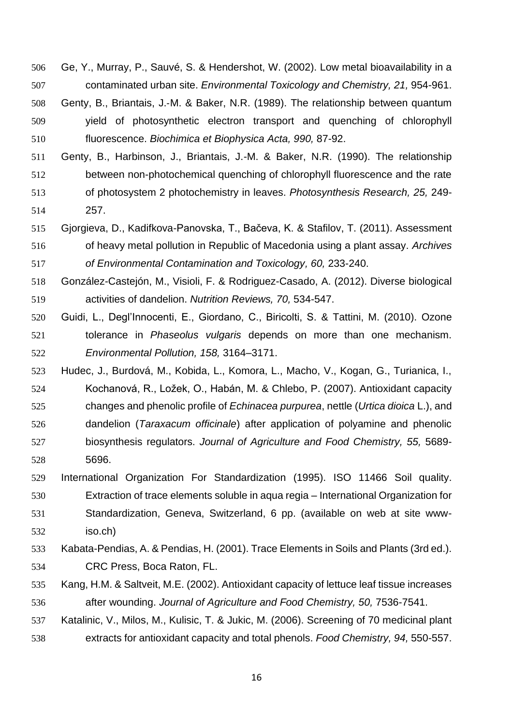- Ge, Y., Murray, P., Sauvé, S. & Hendershot, W. (2002). Low metal bioavailability in a contaminated urban site. *Environmental Toxicology and Chemistry, 21,* 954-961.
- 508 Genty, B., Briantais, J.-M. & Baker, N.R. (1989). The relationship between quantum yield of photosynthetic electron transport and quenching of chlorophyll fluorescence. *Biochimica et Biophysica Acta, 990,* 87-92.
- Genty, B., Harbinson, J., Briantais, J.-M. & Baker, N.R. (1990). The relationship between non-photochemical quenching of chlorophyll fluorescence and the rate of photosystem 2 photochemistry in leaves. *Photosynthesis Research, 25,* 249- 257.
- Gjorgieva, D., Kadifkova-Panovska, T., Bačeva, K. & Stafilov, T. (2011). Assessment of heavy metal pollution in Republic of Macedonia using a plant assay. *Archives of Environmental Contamination and Toxicology, 60,* 233-240.
- González-Castejón, M., Visioli, F. & Rodriguez-Casado, A. (2012). Diverse biological activities of dandelion. *Nutrition Reviews, 70,* 534-547.
- Guidi, L., Degl'Innocenti, E., Giordano, C., Biricolti, S. & Tattini, M. (2010). Ozone tolerance in *Phaseolus vulgaris* depends on more than one mechanism. *Environmental Pollution, 158,* 3164–3171.
- Hudec, J., Burdová, M., Kobida, L., Komora, L., Macho, V., Kogan, G., Turianica, I., Kochanová, R., Ložek, O., Habán, M. & Chlebo, P. (2007). Antioxidant capacity changes and phenolic profile of *Echinacea purpurea*, nettle (*Urtica dioica* L.), and dandelion (*Taraxacum officinale*) after application of polyamine and phenolic biosynthesis regulators. *Journal of Agriculture and Food Chemistry, 55,* 5689- 5696.
- International Organization For Standardization (1995). ISO 11466 Soil quality. Extraction of trace elements soluble in aqua regia – International Organization for Standardization, Geneva, Switzerland, 6 pp. (available on web at site www-iso.ch)
- Kabata-Pendias, A. & Pendias, H. (2001). Trace Elements in Soils and Plants (3rd ed.). CRC Press, Boca Raton, FL.
- Kang, H.M. & Saltveit, M.E. (2002). Antioxidant capacity of lettuce leaf tissue increases after wounding. *Journal of Agriculture and Food Chemistry, 50,* 7536-7541.
- Katalinic, V., Milos, M., Kulisic, T. & Jukic, M. (2006). Screening of 70 medicinal plant extracts for antioxidant capacity and total phenols. *Food Chemistry, 94,* 550-557.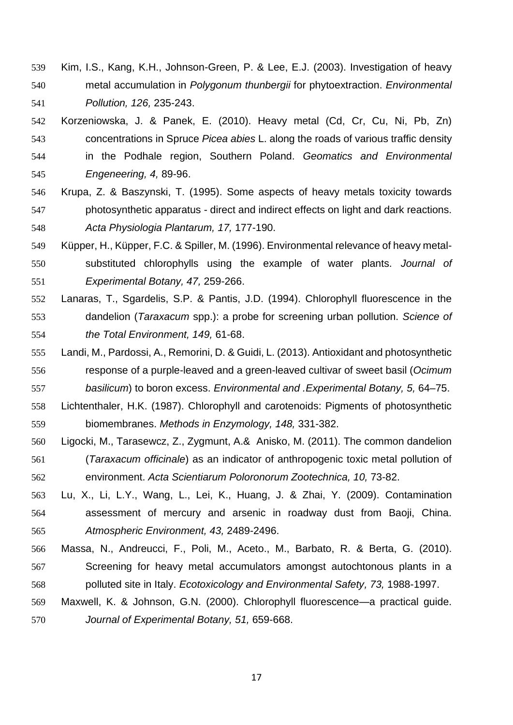- Kim, I.S., Kang, K.H., Johnson-Green, P. & Lee, E.J. (2003). Investigation of heavy metal accumulation in *Polygonum thunbergii* for phytoextraction. *Environmental Pollution, 126,* 235-243.
- Korzeniowska, J. & Panek, E. (2010). Heavy metal (Cd, Cr, Cu, Ni, Pb, Zn) concentrations in Spruce *Picea abies* L. along the roads of various traffic density in the Podhale region, Southern Poland. *Geomatics and Environmental Engeneering, 4,* 89-96.
- Krupa, Z. & Baszynski, T. (1995). Some aspects of heavy metals toxicity towards photosynthetic apparatus - direct and indirect effects on light and dark reactions. *Acta Physiologia Plantarum, 17,* 177-190.
- Küpper, H., Küpper, F.C. & Spiller, M. (1996). Environmental relevance of heavy metal- substituted chlorophylls using the example of water plants. *Journal of Experimental Botany, 47,* 259-266.
- Lanaras, T., Sgardelis, S.P. & Pantis, J.D. (1994). Chlorophyll fluorescence in the dandelion (*Taraxacum* spp.): a probe for screening urban pollution. *Science of the Total Environment, 149,* 61-68.
- Landi, M., Pardossi, A., Remorini, D. & Guidi, L. (2013). Antioxidant and photosynthetic response of a purple-leaved and a green-leaved cultivar of sweet basil (*Ocimum basilicum*) to boron excess. *Environmental and .Experimental Botany, 5,* 64–75.
- Lichtenthaler, H.K. (1987). Chlorophyll and carotenoids: Pigments of photosynthetic biomembranes. *Methods in Enzymology, 148,* 331-382.
- Ligocki, M., Tarasewcz, Z., Zygmunt, A.& Anisko, M. (2011). The common dandelion (*Taraxacum officinale*) as an indicator of anthropogenic toxic metal pollution of environment. *Acta Scientiarum Poloronorum Zootechnica, 10,* 73-82.
- Lu, X., Li, L.Y., Wang, L., Lei, K., Huang, J. & Zhai, Y. (2009). Contamination assessment of mercury and arsenic in roadway dust from Baoji, China. *Atmospheric Environment, 43,* 2489-2496.
- Massa, N., Andreucci, F., Poli, M., Aceto., M., Barbato, R. & Berta, G. (2010). Screening for heavy metal accumulators amongst autochtonous plants in a polluted site in Italy. *Ecotoxicology and Environmental Safety, 73,* 1988-1997.
- Maxwell, K. & Johnson, G.N. (2000). Chlorophyll fluorescence—a practical guide. *Journal of Experimental Botany, 51,* 659-668.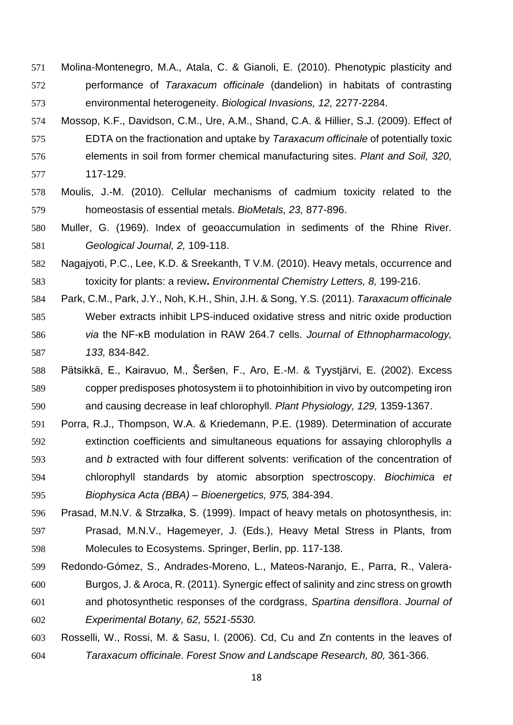- Molina-Montenegro, M.A., Atala, C. & Gianoli, E. (2010). Phenotypic plasticity and performance of *Taraxacum officinale* (dandelion) in habitats of contrasting environmental heterogeneity. *Biological Invasions, 12,* 2277-2284.
- Mossop, K.F., Davidson, C.M., Ure, A.M., Shand, C.A. & Hillier, S.J. (2009). Effect of EDTA on the fractionation and uptake by *Taraxacum officinale* of potentially toxic elements in soil from former chemical manufacturing sites. *Plant and Soil, 320,*  117-129.
- Moulis, J.-M. (2010). Cellular mechanisms of cadmium toxicity related to the homeostasis of essential metals. *BioMetals, 23,* 877-896.
- Muller, G. (1969). Index of geoaccumulation in sediments of the Rhine River. *Geological Journal, 2,* 109-118.
- Nagajyoti, P.C., Lee, K.D. & Sreekanth, T V.M. (2010). Heavy metals, occurrence and toxicity for plants: a review**.** *Environmental Chemistry Letters, 8,* 199-216.
- Park, C.M., Park, J.Y., Noh, K.H., Shin, J.H. & Song, Y.S. (2011). *Taraxacum officinale* Weber extracts inhibit LPS-induced oxidative stress and nitric oxide production *via* the NF-κB modulation in RAW 264.7 cells. *Journal of Ethnopharmacology, 133,* 834-842.
- Pätsikkä, E., Kairavuo, M., Šeršen, F., Aro, E.-M. & Tyystjärvi, E. (2002). Excess copper predisposes photosystem ii to photoinhibition in vivo by outcompeting iron and causing decrease in leaf chlorophyll. *Plant Physiology, 129,* 1359-1367.
- Porra, R.J., Thompson, W.A. & Kriedemann, P.E. (1989). Determination of accurate extinction coefficients and simultaneous equations for assaying chlorophylls *a* and *b* extracted with four different solvents: verification of the concentration of chlorophyll standards by atomic absorption spectroscopy. *Biochimica et Biophysica Acta (BBA) – Bioenergetics, 975,* 384-394.
- Prasad, M.N.V. & Strzałka, S. (1999). Impact of heavy metals on photosynthesis, in: Prasad, M.N.V., Hagemeyer, J. (Eds.), Heavy Metal Stress in Plants, from Molecules to Ecosystems. Springer, Berlin, pp. 117-138.
- Redondo-Gómez, S., Andrades-Moreno, L., Mateos-Naranjo, E., Parra, R., Valera- Burgos, J. & Aroca, R. (2011). Synergic effect of salinity and zinc stress on growth and photosynthetic responses of the cordgrass, *Spartina densiflora*. *Journal of Experimental Botany, 62, 5521-5530.*
- Rosselli, W., Rossi, M. & Sasu, I. (2006). Cd, Cu and Zn contents in the leaves of *Taraxacum officinale*. *Forest Snow and Landscape Research, 80,* 361-366.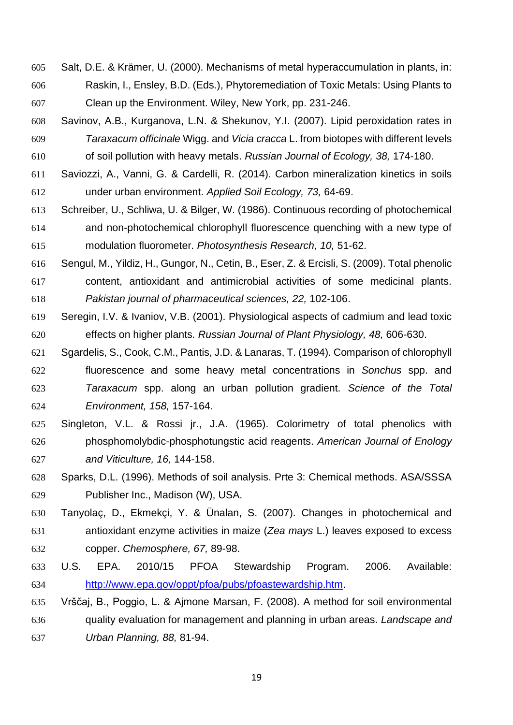Salt, D.E. & Krämer, U. (2000). Mechanisms of metal hyperaccumulation in plants, in: Raskin, I., Ensley, B.D. (Eds.), Phytoremediation of Toxic Metals: Using Plants to Clean up the Environment. Wiley, New York, pp. 231-246.

 Savinov, A.B., Kurganova, L.N. & Shekunov, Y.I. (2007). Lipid peroxidation rates in *Taraxacum officinale* Wigg. and *Vicia cracca* L. from biotopes with different levels of soil pollution with heavy metals. *Russian Journal of Ecology, 38,* 174-180.

 Saviozzi, A., Vanni, G. & Cardelli, R. (2014). Carbon mineralization kinetics in soils under urban environment. *Applied Soil Ecology, 73,* 64-69.

- Schreiber, U., Schliwa, U. & Bilger, W. (1986). Continuous recording of photochemical and non-photochemical chlorophyll fluorescence quenching with a new type of modulation fluorometer. *Photosynthesis Research, 10,* 51-62.
- Sengul, M., Yildiz, H., Gungor, N., Cetin, B., Eser, Z. & Ercisli, S. (2009). Total phenolic content, antioxidant and antimicrobial activities of some medicinal plants. *Pakistan journal of pharmaceutical sciences, 22,* 102-106.
- Seregin, I.V. & Ivaniov, V.B. (2001). Physiological aspects of cadmium and lead toxic effects on higher plants. *Russian Journal of Plant Physiology, 48,* 606-630.
- Sgardelis, S., Cook, C.M., Pantis, J.D. & Lanaras, T. (1994). Comparison of chlorophyll fluorescence and some heavy metal concentrations in *Sonchus* spp. and *Taraxacum* spp. along an urban pollution gradient. *Science of the Total Environment, 158,* 157-164.
- Singleton, V.L. & Rossi jr., J.A. (1965). Colorimetry of total phenolics with phosphomolybdic-phosphotungstic acid reagents. *American Journal of Enology and Viticulture, 16,* 144-158.
- Sparks, D.L. (1996). Methods of soil analysis. Prte 3: Chemical methods. ASA/SSSA Publisher Inc., Madison (W), USA.
- Tanyolaç, D., Ekmekçi, Y. & Ünalan, S. (2007). Changes in photochemical and antioxidant enzyme activities in maize (*Zea mays* L.) leaves exposed to excess copper. *Chemosphere, 67,* 89-98.
- U.S. EPA. 2010/15 PFOA Stewardship Program. 2006. Available: [http://www.epa.gov/oppt/pfoa/pubs/pfoastewardship.htm.](http://www.epa.gov/oppt/pfoa/pubs/pfoastewardship.htm)
- Vrščaj, B., Poggio, L. & Ajmone Marsan, F. (2008). A method for soil environmental quality evaluation for management and planning in urban areas. *Landscape and Urban Planning, 88,* 81-94.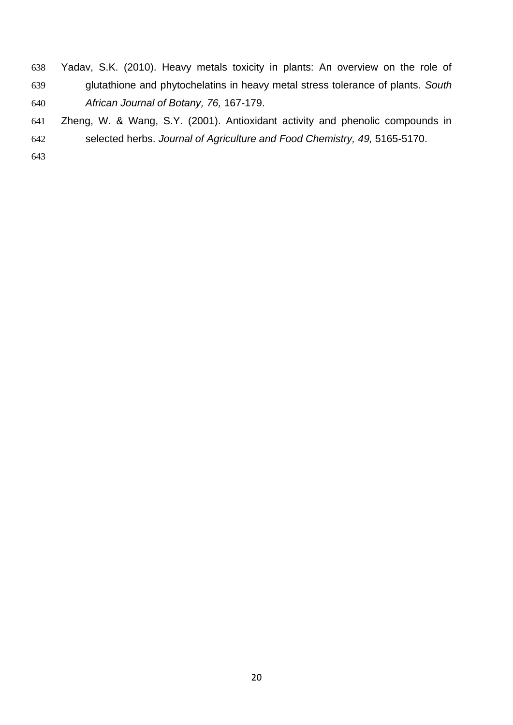Yadav, S.K. (2010). Heavy metals toxicity in plants: An overview on the role of glutathione and phytochelatins in heavy metal stress tolerance of plants. *South African Journal of Botany, 76,* 167-179.

 Zheng, W. & Wang, S.Y. (2001). Antioxidant activity and phenolic compounds in selected herbs. *Journal of Agriculture and Food Chemistry, 49,* 5165-5170.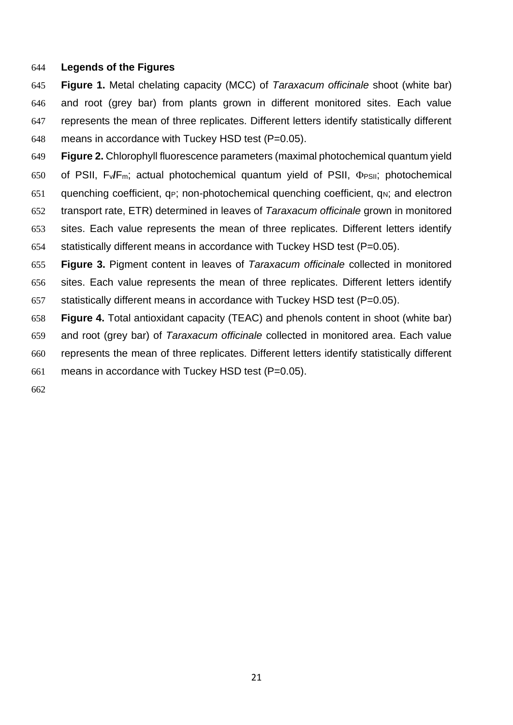## **Legends of the Figures**

- **Figure 1.** Metal chelating capacity (MCC) of *Taraxacum officinale* shoot (white bar) and root (grey bar) from plants grown in different monitored sites. Each value represents the mean of three replicates. Different letters identify statistically different means in accordance with Tuckey HSD test (P=0.05).
- **Figure 2.** Chlorophyll fluorescence parameters (maximal photochemical quantum yield 650 of PSII, F<sub>v</sub>/F<sub>m</sub>; actual photochemical quantum yield of PSII,  $\Phi$ <sub>PSII</sub>; photochemical 651 quenching coefficient,  $q_P$ ; non-photochemical quenching coefficient,  $q_N$ ; and electron transport rate, ETR) determined in leaves of *Taraxacum officinale* grown in monitored sites. Each value represents the mean of three replicates. Different letters identify statistically different means in accordance with Tuckey HSD test (P=0.05).
- **Figure 3.** Pigment content in leaves of *Taraxacum officinale* collected in monitored sites. Each value represents the mean of three replicates. Different letters identify statistically different means in accordance with Tuckey HSD test (P=0.05).
- **Figure 4.** Total antioxidant capacity (TEAC) and phenols content in shoot (white bar) and root (grey bar) of *Taraxacum officinale* collected in monitored area. Each value represents the mean of three replicates. Different letters identify statistically different
- means in accordance with Tuckey HSD test (P=0.05).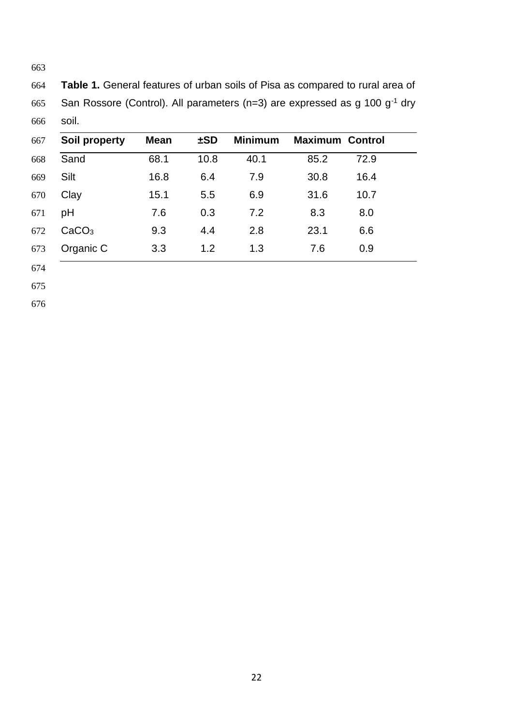**Table 1.** General features of urban soils of Pisa as compared to rural area of 665 San Rossore (Control). All parameters (n=3) are expressed as g 100  $g^{-1}$  dry soil.

| <b>Soil property</b> | <b>Mean</b> | ±SD  | <b>Minimum</b> | <b>Maximum Control</b> |      |
|----------------------|-------------|------|----------------|------------------------|------|
| Sand                 | 68.1        | 10.8 | 40.1           | 85.2                   | 72.9 |
| Silt                 | 16.8        | 6.4  | 7.9            | 30.8                   | 16.4 |
| Clay                 | 15.1        | 5.5  | 6.9            | 31.6                   | 10.7 |
| pH                   | 7.6         | 0.3  | 7.2            | 8.3                    | 8.0  |
| CaCO <sub>3</sub>    | 9.3         | 4.4  | 2.8            | 23.1                   | 6.6  |
| Organic C            | 3.3         | 1.2  | 1.3            | 7.6                    | 0.9  |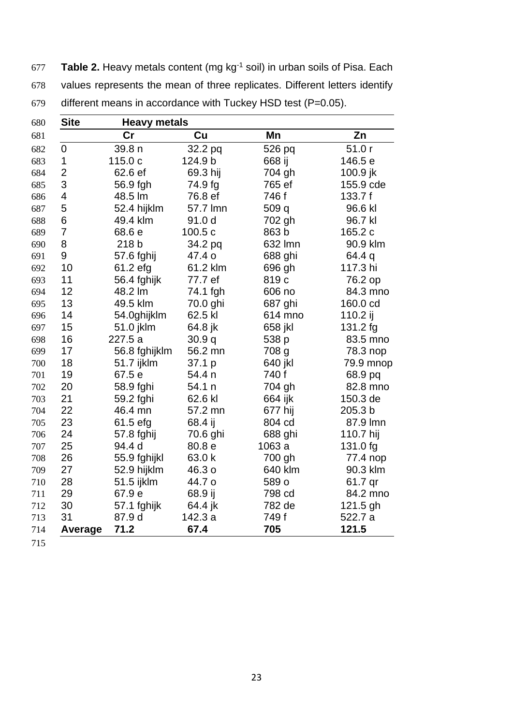**Table 2.** Heavy metals content (mg kg-1 soil) in urban soils of Pisa. Each values represents the mean of three replicates. Different letters identify different means in accordance with Tuckey HSD test (P=0.05).

| 680 | <b>Site</b>    | <b>Heavy metals</b> |          |                  |           |
|-----|----------------|---------------------|----------|------------------|-----------|
| 681 |                | cr                  | Cu       | Mn               | Zn        |
| 682 | $\mathbf 0$    | 39.8 n              | 32.2 pq  | 526 pq           | 51.0r     |
| 683 | 1              | 115.0 c             | 124.9 b  | 668 ij           | 146.5 e   |
| 684 | $\overline{2}$ | 62.6 ef             | 69.3 hij | 704 gh           | 100.9 jk  |
| 685 | 3              | 56.9 fgh            | 74.9 fg  | 765 ef           | 155.9 cde |
| 686 | 4              | 48.5 lm             | 76.8 ef  | 746 f            | 133.7 f   |
| 687 | 5              | 52.4 hijklm         | 57.7 lmn | 509 q            | 96.6 kl   |
| 688 | 6              | 49.4 klm            | 91.0 d   | 702 gh           | 96.7 kl   |
| 689 | $\overline{7}$ | 68.6 e              | 100.5c   | 863 b            | 165.2 c   |
| 690 | 8              | 218 b               | 34.2 pq  | 632 Imn          | 90.9 klm  |
| 691 | 9              | 57.6 fghij          | 47.4 o   | 688 ghi          | 64.4 q    |
| 692 | 10             | 61.2 efg            | 61.2 klm | 696 gh           | 117.3 hi  |
| 693 | 11             | 56.4 fghijk         | 77.7 ef  | 819 <sub>c</sub> | 76.2 op   |
| 694 | 12             | 48.2 lm             | 74.1 fgh | 606 no           | 84.3 mno  |
| 695 | 13             | 49.5 klm            | 70.0 ghi | 687 ghi          | 160.0 cd  |
| 696 | 14             | 54.0ghijklm         | 62.5 kl  | 614 mno          | 110.2 ij  |
| 697 | 15             | 51.0 jklm           | 64.8 jk  | 658 jkl          | 131.2 fg  |
| 698 | 16             | 227.5 a             | 30.9q    | 538 p            | 83.5 mno  |
| 699 | 17             | 56.8 fghijklm       | 56.2 mn  | 708 g            | 78.3 nop  |
| 700 | 18             | 51.7 ijklm          | 37.1 p   | 640 jkl          | 79.9 mnop |
| 701 | 19             | 67.5 e              | 54.4 n   | 740 f            | 68.9 pq   |
| 702 | 20             | 58.9 fghi           | 54.1 n   | 704 gh           | 82.8 mno  |
| 703 | 21             | 59.2 fghi           | 62.6 kl  | 664 ijk          | 150.3 de  |
| 704 | 22             | 46.4 mn             | 57.2 mn  | 677 hij          | 205.3 b   |
| 705 | 23             | 61.5 efg            | 68.4 ij  | 804 cd           | 87.9 lmn  |
| 706 | 24             | 57.8 fghij          | 70.6 ghi | 688 ghi          | 110.7 hij |
| 707 | 25             | 94.4 d              | 80.8 e   | 1063 a           | 131.0 fg  |
| 708 | 26             | 55.9 fghijkl        | 63.0 k   | 700 gh           | 77.4 nop  |
| 709 | 27             | 52.9 hijklm         | 46.3 o   | 640 klm          | 90.3 klm  |
| 710 | 28             | 51.5 ijklm          | 44.7 o   | 589 o            | 61.7 qr   |
| 711 | 29             | 67.9 e              | 68.9 ij  | 798 cd           | 84.2 mno  |
| 712 | 30             | 57.1 fghijk         | 64.4 jk  | 782 de           | 121.5 gh  |
| 713 | 31             | 87.9 d              | 142.3 a  | 749 f            | 522.7 a   |
| 714 | Average        | 71.2                | 67.4     | 705              | 121.5     |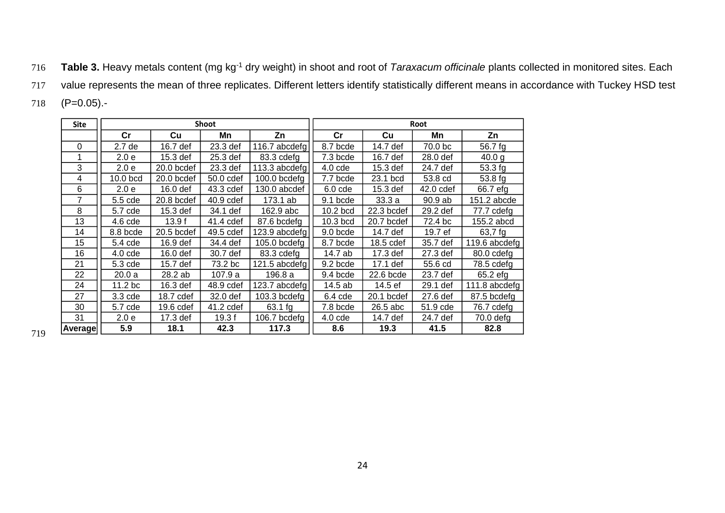716 Table 3. Heavy metals content (mg kg<sup>-1</sup> dry weight) in shoot and root of *Taraxacum officinale* plants collected in monitored sites. Each

value represents the mean of three replicates. Different letters identify statistically different means in accordance with Tuckey HSD test

(P=0.05).-

| <b>Site</b>    |                    |            | <b>Shoot</b> |               | Root<br>$\mathsf{Cr}$<br>Cu<br>Mn<br>70.0 bc<br>8.7 bcde<br>14.7 def<br>16.7 def<br>7.3 bcde<br>28.0 def<br>$4.0$ cde<br>15.3 def<br>24.7 def<br>7.7 bcde<br>23.1 bcd<br>53.8 cd<br>$6.0$ cde<br>15.3 def<br>42.0 cdef<br>33.3a<br>9.1 bcde<br>90.9 ab<br>10.2 bcd<br>22.3 bcdef<br>29.2 def<br>$10.3$ bcd<br>20.7 bcdef<br>72.4 bc<br>14.7 def<br>19.7 ef<br>9.0 bcde |            |          |               |
|----------------|--------------------|------------|--------------|---------------|------------------------------------------------------------------------------------------------------------------------------------------------------------------------------------------------------------------------------------------------------------------------------------------------------------------------------------------------------------------------|------------|----------|---------------|
|                | cr                 | Cu         | Mn           | Zn            |                                                                                                                                                                                                                                                                                                                                                                        |            |          | Zn            |
| 0              | 2.7 de             | 16.7 def   | 23.3 def     | 116.7 abcdefg |                                                                                                                                                                                                                                                                                                                                                                        |            |          | 56.7 fg       |
|                | 2.0 <sub>e</sub>   | 15.3 def   | 25.3 def     | 83.3 cdefg    |                                                                                                                                                                                                                                                                                                                                                                        |            |          | 40.0 g        |
| 3              | 2.0 <sub>e</sub>   | 20.0 bcdef | 23.3 def     | 113.3 abcdefg |                                                                                                                                                                                                                                                                                                                                                                        |            |          | 53.3 fg       |
| 4              | 10.0 bcd           | 20.0 bcdef | 50.0 cdef    | 100.0 bcdefg  |                                                                                                                                                                                                                                                                                                                                                                        |            |          | 53.8 fg       |
| 6              | 2.0 <sub>e</sub>   | 16.0 def   | 43.3 cdef    | 130.0 abcdef  |                                                                                                                                                                                                                                                                                                                                                                        |            |          | 66.7 efg      |
| 7              | 5.5 cde            | 20.8 bcdef | 40.9 cdef    | 173.1 ab      |                                                                                                                                                                                                                                                                                                                                                                        |            |          | 151.2 abcde   |
| 8              | 5.7 cde            | 15.3 def   | 34.1 def     | 162.9 abc     |                                                                                                                                                                                                                                                                                                                                                                        |            |          | 77.7 cdefg    |
| 13             | $4.6$ cde          | 13.9f      | 41.4 cdef    | 87.6 bcdefg   |                                                                                                                                                                                                                                                                                                                                                                        |            |          | 155.2 abcd    |
| 14             | 8.8 bcde           | 20.5 bcdef | 49.5 cdef    | 123.9 abcdefg |                                                                                                                                                                                                                                                                                                                                                                        |            |          | 63,7 fg       |
| 15             | 5.4 cde            | 16.9 def   | 34.4 def     | 105.0 bcdefg  | 8.7 bcde                                                                                                                                                                                                                                                                                                                                                               | 18.5 cdef  | 35.7 def | 119.6 abcdefg |
| 16             | 4.0 <sub>cde</sub> | 16.0 def   | 30.7 def     | 83.3 cdefg    | 14.7 ab                                                                                                                                                                                                                                                                                                                                                                | 17.3 def   | 27.3 def | 80.0 cdefg    |
| 21             | 5.3 cde            | 15.7 def   | 73.2 bc      | 121.5 abcdefg | 9.2 bcde                                                                                                                                                                                                                                                                                                                                                               | 17.1 def   | 55.6 cd  | 78.5 cdefg    |
| 22             | 20.0a              | 28.2 ab    | 107.9 a      | 196.8 a       | 9.4 bcde                                                                                                                                                                                                                                                                                                                                                               | 22.6 bcde  | 23.7 def | 65.2 efg      |
| 24             | 11.2 <sub>bc</sub> | 16.3 def   | 48.9 cdef    | 123.7 abcdefg | 14.5 ab                                                                                                                                                                                                                                                                                                                                                                | 14.5 ef    | 29.1 def | 111.8 abcdefg |
| 27             | $3.3$ cde          | 18.7 cdef  | 32.0 def     | 103.3 bcdefg  | $6.4$ cde                                                                                                                                                                                                                                                                                                                                                              | 20.1 bcdef | 27.6 def | 87.5 bcdefg   |
| 30             | 5.7 cde            | 19.6 cdef  | 41.2 cdef    | 63.1 fg       | 7.8 bcde                                                                                                                                                                                                                                                                                                                                                               | 26.5 abc   | 51.9 cde | 76.7 cdefg    |
| 31             | 2.0 <sub>e</sub>   | 17.3 def   | 19.3f        | 106.7 bcdefg  | $4.0$ cde                                                                                                                                                                                                                                                                                                                                                              | 14.7 def   | 24.7 def | 70.0 defg     |
| <b>Average</b> | 5.9                | 18.1       | 42.3         | 117.3         | 8.6                                                                                                                                                                                                                                                                                                                                                                    | 19.3       | 41.5     | 82.8          |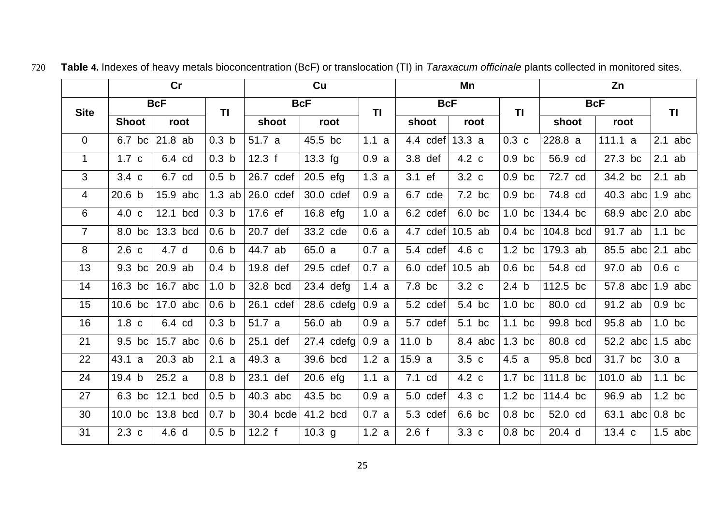|                | cr                        |                  |                         |           | Cu           |           | Mn                |                  |                  |            |                     |           |
|----------------|---------------------------|------------------|-------------------------|-----------|--------------|-----------|-------------------|------------------|------------------|------------|---------------------|-----------|
|                | <b>BcF</b><br><b>Site</b> |                  | <b>BcF</b><br><b>TI</b> |           |              | <b>TI</b> |                   | <b>BcF</b>       |                  | <b>BcF</b> | <b>TI</b>           |           |
|                | <b>Shoot</b>              | root             |                         | shoot     | root         |           | shoot             | root             |                  | shoot      | root                |           |
| $\overline{0}$ | 6.7 bc                    | $21.8$ ab        | 0.3 <sub>b</sub>        | 51.7 a    | 45.5 bc      | 1.1 a     | 4.4 $\text{cdef}$ | 13.3a            | $0.3\ c$         | 228.8 a    | 111.1 a             | $2.1$ abc |
| $\mathbf{1}$   | 1.7c                      | 6.4 cd           | 0.3 <sub>b</sub>        | 12.3 f    | 13.3 fg      | 0.9a      | 3.8 def           | $4.2\text{ c}$   | $0.9$ bc         | 56.9 cd    | 27.3 bc             | $2.1$ ab  |
| 3              | $3.4\ c$                  | 6.7 cd           | 0.5 <sub>b</sub>        | 26.7 cdef | $20.5$ efg   | 1.3a      | 3.1 ef            | $3.2\ c$         | $0.9$ bc         | 72.7 cd    | 34.2 bc             | $2.1$ ab  |
| $\overline{4}$ | 20.6 <sub>b</sub>         | 15.9 abc         | $1.3$ ab                | 26.0 cdef | 30.0 cdef    | 0.9a      | 6.7 cde           | 7.2 bc           | $0.9$ bc         | 74.8 cd    | 40.3 abc            | $1.9$ abc |
| 6              | 4.0 <sub>c</sub>          | 12.1<br>bcd      | 0.3 <sub>b</sub>        | 17.6 ef   | $16.8$ efg   | 1.0a      | 6.2 cdef          | 6.0 bc           | $1.0$ bc         | 134.4 bc   | 68.9 abc $ 2.0$ abc |           |
| $\overline{7}$ | 8.0 bc                    | 13.3 bcd         | 0.6 <sub>b</sub>        | 20.7 def  | 33.2 cde     | 0.6a      | 4.7 $\text{cdef}$ | $10.5$ ab        | $0.4$ bc         | 104.8 bcd  | 91.7 ab             | $1.1$ bc  |
| 8              | 2.6 <sub>c</sub>          | 4.7 d            | 0.6 <sub>b</sub>        | 44.7 ab   | 65.0 a       | 0.7 a     | 5.4 cdef          | 4.6 c            | $1.2$ bc         | 179.3 ab   | 85.5 abc            | $2.1$ abc |
| 13             | 9.3 bc                    | 20.9 ab          | 0.4 <sub>b</sub>        | 19.8 def  | 29.5 cdef    | 0.7 a     | $6.0$ cdef        | $10.5$ ab        | $0.6$ bc         | 54.8 cd    | 97.0 ab             | 0.6c      |
| 14             | 16.3 bc                   | 16.7 abc         | 1.0 <sub>b</sub>        | 32.8 bcd  | $23.4$ defg  | 1.4a      | 7.8 bc            | $3.2\ c$         | 2.4 <sub>b</sub> | 112.5 bc   | 57.8 abc            | $1.9$ abc |
| 15             | 10.6 bc                   | 17.0 abc         | 0.6 <sub>b</sub>        | 26.1 cdef | 28.6 $cdefg$ | 0.9a      | 5.2 cdef          | 5.4 bc           | $1.0$ bc         | 80.0 cd    | 91.2 ab             | $0.9$ bc  |
| 16             | 1.8 <sub>c</sub>          | 6.4 cd           | 0.3 <sub>b</sub>        | 51.7 a    | 56.0 ab      | 0.9a      | 5.7 cdef          | 5.1 bc           | $1.1$ bc         | 99.8 bcd   | 95.8 ab             | $1.0$ bc  |
| 21             | 9.5 bc                    | 15.7 abc         | 0.6 <sub>b</sub>        | 25.1 def  | 27.4 $cdefg$ | 0.9a      | 11.0 <sub>b</sub> | 8.4 abc          | $1.3$ bc         | 80.8 cd    | 52.2 abc            | $1.5$ abc |
| 22             | 43.1 a                    | $20.3$ ab        | 2.1 a                   | 49.3 a    | 39.6 bcd     | 1.2a      | 15.9a             | 3.5 <sub>c</sub> | 4.5a             | 95.8 bcd   | 31.7 bc             | 3.0a      |
| 24             | 19.4 b                    | 25.2a            | 0.8 <sub>b</sub>        | 23.1 def  | 20.6 efg     | 1.1 a     | 7.1 cd            | $4.2\text{ c}$   | $1.7$ bc         | 111.8 bc   | 101.0 ab            | $1.1$ bc  |
| 27             | 6.3 bc                    | 12.1 bcd         | 0.5 <sub>b</sub>        | 40.3 abc  | 43.5 bc      | 0.9a      | 5.0 cdef          | 4.3 c            | $1.2$ bc         | 114.4 bc   | 96.9 ab             | $1.2$ bc  |
| 30             | $10.0$ bc                 | 13.8 bcd         | 0.7 <sub>b</sub>        | 30.4 bcde | 41.2 bcd     | 0.7a      | 5.3 cdef          | 6.6 bc           | $0.8$ bc         | 52.0 cd    | 63.1 abc            | $0.8$ bc  |
| 31             | $2.3\ c$                  | 4.6 <sub>d</sub> | 0.5 <sub>b</sub>        | 12.2 f    | $10.3$ g     | 1.2a      | 2.6 f             | 3.3 <sub>c</sub> | $0.8$ bc         | 20.4 d     | 13.4 c              | $1.5$ abc |

**Table 4.** Indexes of heavy metals bioconcentration (BcF) or translocation (TI) in *Taraxacum officinale* plants collected in monitored sites.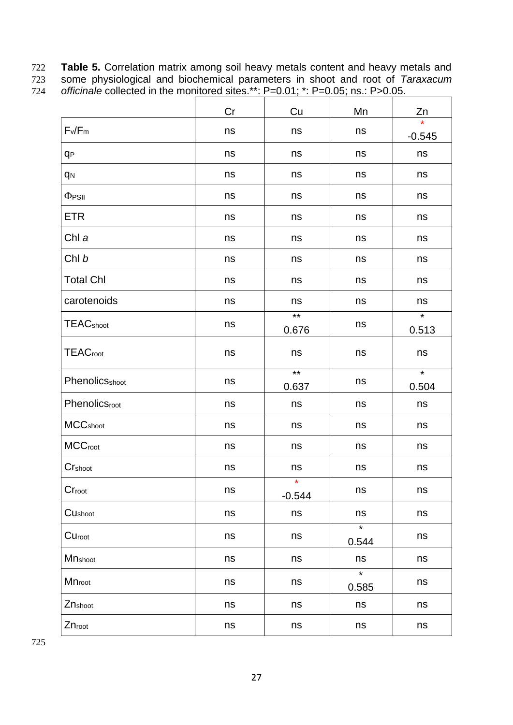722 **Table 5.** Correlation matrix among soil heavy metals content and heavy metals and 723 some physiological and biochemical parameters in shoot and root of *Taraxacum* 

| 724 | officinale collected in the monitored sites.**: $P=0.01$ ; *: $P=0.05$ ; ns.: $P>0.05$ . |  |  |
|-----|------------------------------------------------------------------------------------------|--|--|
|     |                                                                                          |  |  |

| onioniale conceled in the monitored sites. |    | $1 - 0.01$ , $1 - 0.00$ , $101$ |                  |                  |
|--------------------------------------------|----|---------------------------------|------------------|------------------|
|                                            | Cr | Cu                              | Mn               | Zn               |
| $F_v/F_m$                                  | ns | ns                              | ns               | $-0.545$         |
| q <sub>P</sub>                             | ns | ns                              | ns               | ns               |
| q <sub>N</sub>                             | ns | ns                              | ns               | ns               |
| $\Phi$ PSII                                | ns | ns                              | ns               | ns               |
| ETR                                        | ns | ns                              | ns               | ns               |
| Chl a                                      | ns | ns                              | ns               | ns               |
| Chl b                                      | ns | ns                              | ns               | ns               |
| <b>Total Chl</b>                           | ns | ns                              | ns               | ns               |
| carotenoids                                | ns | ns                              | ns               | ns               |
| <b>TEAC</b> shoot                          | ns | $*$<br>0.676                    | ns               | $\star$<br>0.513 |
| <b>TEACroot</b>                            | ns | ns                              | ns               | ns               |
| PhenolicSshoot                             | ns | $\star\star$<br>0.637           | ns               | $\star$<br>0.504 |
| Phenolicsroot                              | ns | ns                              | ns               | ns               |
| <b>MCC</b> shoot                           | ns | ns                              | ns               | ns               |
| <b>MCCroot</b>                             | ns | ns                              | ns               | ns               |
| Crshoot                                    | ns | ns                              | ns               | ns               |
| Cr <sub>root</sub>                         | ns | $\star$<br>$-0.544$             | ns               | ns               |
| CUshoot                                    | ns | ns                              | ns               | ns               |
| Curoot                                     | ns | ns                              | $\star$<br>0.544 | ns               |
| Mnshoot                                    | ns | ns                              | ns               | ns               |
| Mnroot                                     | ns | ns                              | $\star$<br>0.585 | ns               |
| Znshoot                                    | ns | ns                              | ns               | ns               |
| Znroot                                     | ns | ns                              | ns               | ns               |